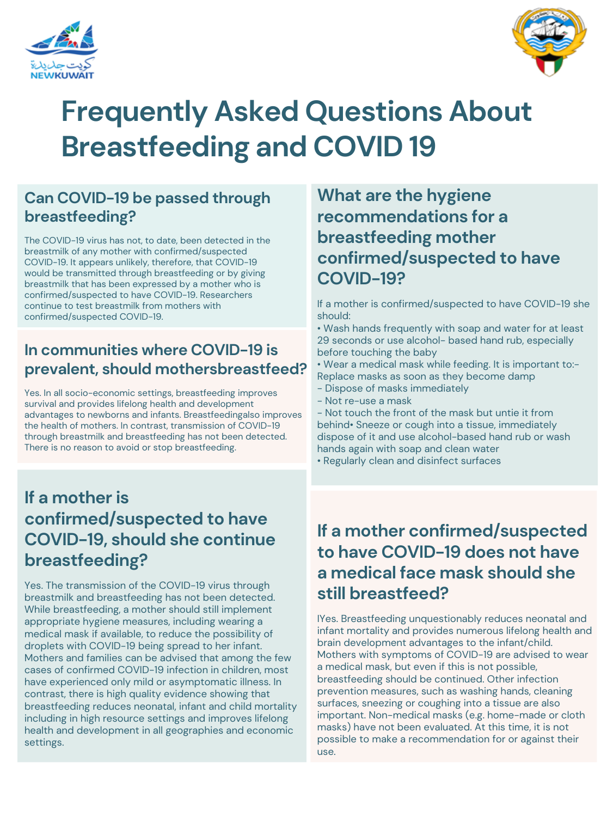## **If a motheris confirmed/suspected to have COVID-19, should she continue breastfeeding?**

Yes. The transmission of the COVID-19 virus through breastmilk and breastfeeding has not been detected. While breastfeeding, a mother should still implement appropriate hygiene measures, including wearing a medical mask if available, to reduce the possibility of droplets with COVID-19 being spread to her infant. Mothers and families can be advised that among the few cases of confirmed COVID-19 infection in children, most have experienced only mild or asymptomatic illness. In contrast, there is high quality evidence showing that breastfeeding reduces neonatal, infant and child mortality including in high resource settings and improves lifelong health and development in all geographies and economic settings.

#### **Can COVID-19 be passed through breastfeeding?**

The COVID-19 virus has not, to date, been detected in the breastmilk of any mother with confirmed/suspected COVID-19. It appears unlikely, therefore, that COVID-19 would be transmitted through breastfeeding or by giving breastmilk that has been expressed by a mother who is confirmed/suspected to have COVID-19. Researchers continue to test breastmilk from mothers with confirmed/suspected COVID-19.





# **Frequently Asked Questions About Breastfeeding and COVID 19**

#### **In communities where COVID-19 is prevalent, should mothersbreastfeed?**

Yes. In all socio-economic settings, breastfeeding improves survival and provides lifelong health and development advantages to newborns and infants. Breastfeedingalso improves the health of mothers. In contrast, transmission of COVID-19 through breastmilk and breastfeeding has not been detected. There is no reason to avoid or stop breastfeeding.

**What are the hygiene recommendations for a breastfeeding mother confirmed/suspected to have COVID-19?**

If a mother is confirmed/suspected to have COVID-19 she should:

• Wash hands frequently with soap and water for at least 29 seconds or use alcohol- based hand rub, especially before touching the baby

• Wear a medical mask while feeding. It is important to:- Replace masks as soon as they become damp

- Dispose of masks immediately
- Not re-use a mask

- Not touch the front of the mask but untie it from behind• Sneeze or cough into a tissue, immediately

dispose of it and use alcohol-based hand rub or wash hands again with soap and clean water • Regularly clean and disinfect surfaces

## **If a mother confirmed/suspected to have COVID-19 does not have a medical face mask should she still breastfeed?**

IYes. Breastfeeding unquestionably reduces neonatal and infant mortality and provides numerous lifelong health and brain development advantages to the infant/child. Mothers with symptoms of COVID-19 are advised to wear a medical mask, but even if this is not possible, breastfeeding should be continued. Other infection prevention measures, such as washing hands, cleaning surfaces, sneezing or coughing into a tissue are also important. Non-medical masks (e.g. home-made or cloth masks) have not been evaluated. At this time, it is not possible to make a recommendation for or against their use.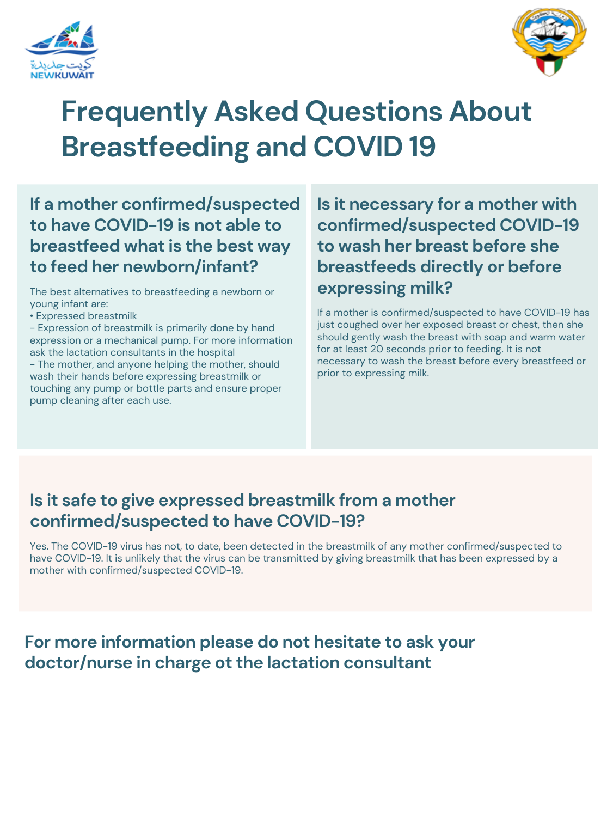



# **Frequently Asked Questions About Breastfeeding and COVID 19**

**Is it necessary for a mother with confirmed/suspected COVID-19 to wash her breast before she breastfeeds directly or before expressing milk?**

If a mother is confirmed/suspected to have COVID-19 has just coughed over her exposed breast or chest, then she should gently wash the breast with soap and warm water for at least 20 seconds prior to feeding. It is not necessary to wash the breast before every breastfeed or prior to expressing milk.

### **For more information please do not hesitate to ask your doctor/nurse in charge ot the lactation consultant**

## **If a mother confirmed/suspected to have COVID-19 is not able to breastfeed what is the best way to feed her newborn/infant?**

The best alternatives to breastfeeding a newborn or young infant are:

- Expressed breastmilk
- Expression of breastmilk is primarily done by hand expression or a mechanical pump. For more information ask the lactation consultants in the hospital
- The mother, and anyone helping the mother, should wash their hands before expressing breastmilk or touching any pump or bottle parts and ensure proper pump cleaning after each use.

#### **Is it safe to give expressed breastmilk from a mother confirmed/suspected to have COVID-19?**

Yes. The COVID-19 virus has not, to date, been detected in the breastmilk of any mother confirmed/suspected to have COVID-19. It is unlikely that the virus can be transmitted by giving breastmilk that has been expressed by a mother with confirmed/suspected COVID-19.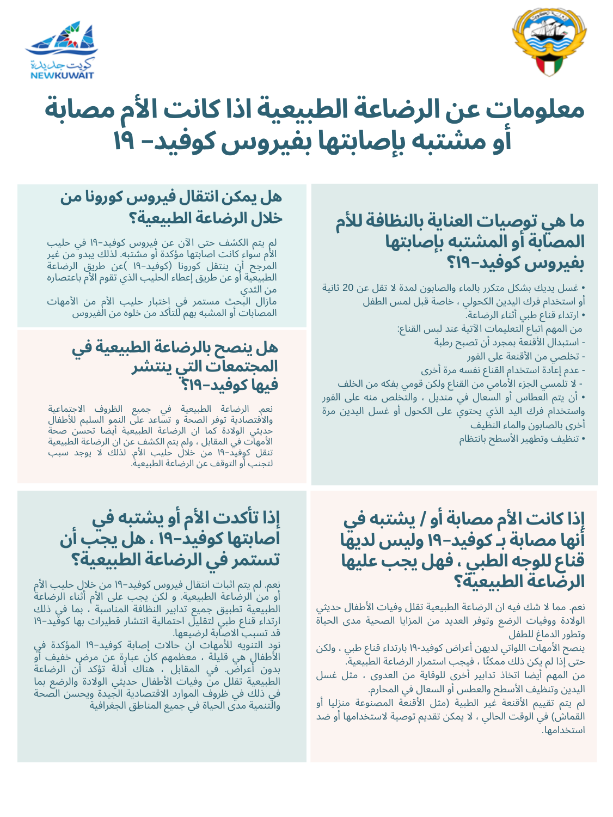# **إذا تأكدت الأم أو يشتبه في اصابتها كوفيد١٩- ،هل يجب أن تستمر في الرضاعة الطبيعية؟**

نعم. لم يتم اثبات انتقال فيروس كوفيد١٩- من خلال حليب الأم أو من الرضاعة الطبيعية. و لكن يجب على الأم أثناء الرضاعة الطبيعية تطبيق جميع تدابير النظافة المناسبة ، بما في ذلك ارتداء قناع طبي لتقليل احتمالية انتشار قطيرات بها كوفيد١٩- قد تسبب الاصابة لرضيعها.

نود التنويه للأمهات ان حالات إصابة كوفيد١٩- المؤكدة في الأطفال هي قليلة ، معظمهم كان عبارة عن مرض خفيف أو بدون أعراض. في المقابل ، هناك أدلة تؤكد أن الرضاعة الطبيعية تقلل من وفيات الأطفال حديثي الولادة والرضع بما في ذلك في ظروف الموارد الاقتصادية الجيدة ويحسن الصحة والتنمية مدى الحياة في جميع المناطق الجغرافية

مازال البحث مستمر في اختبار حليب الأم من الأمهات المصابات أو المشبه بهم للتأكد من خلوه من الفيروس

### **هل يمكن انتقال فيروسكورونا من خلال الرضاعة الطبيعية؟**

لم يتم الكشف حتى الآن عن فيروس كوفيد١٩- في حليب الأم سواء كانت اصابتها مؤكدة أو مشتبه. لذلك يبدو من غير المرجح أن ينتقل كورونا (كوفيد١٩- )عن طريق الرضاعة الطبيعية أو عن طريق إعطاء الحليب الذي تقوم الأم باعتصاره من الثدي





# **معلومات عن الرضاعة الطبيعية اذا كانتالأم مصابة أو مشتبه بإصابتها بفيروسكوفيد- ١٩**

### **هل ينصح بالرضاعة الطبيعية في المجتمعات التي ينتشر فيها كوفيد١٩-؟**

نعم. الرضاعة الطبيعية في جميع الظروف الاجتماعية والاقتصادية توفر الصحة و تساعد على النمو السليم للأطفال حديثي الولادة كما ان الرضاعة الطبيعية أيضا تحسن صحة الأمهات في المقابل ، ولم يتم الكشف عن ان الرضاعة الطبيعية تنقل كوفيد-١٩ من خلال حليب الأم. لذلك لا يوجد سبب لتجنب أو التوقف عن الرضاعة الطبيعية.

## **ما هي توصيات العناية بالنظافة للأم المصابة أو المشتبه بإصابتها بفيروسكوفيد١٩-؟**

• غسل يديك بشكل متكرر بالماء والصابون لمدة لا تقل عن 20 ثانية أو استخدام فرك اليدين الكحولي ، خاصة قبل لمس الطفل • ارتداء قناع طبي أثناء الرضاعة. من المهم اتباع التعليمات الآتية عند لبس القناع: - استبدال الأقنعة بمجرد أن تصبح رطبة - تخلصي من الأقنعة على الفور<br>- عدم إعادة استخدام القناع نفسه مرة أخرى<br>- لا تلمسي الجزء الأمامي من القناع ولكن قومي بفكه من الخلف • أن يتم العطاس أو السعال في منديل ، والتخلص منه على الفور واستخدام فرك اليد الذي يحتوي على الكحول أو غسل اليدين مرة

أخرى بالصابون والماء النظيف • تنظيف وتطهير الأسطح بانتظام

## **إذا كانت الأم مصابة أو / يشتبه في أنها مصابة بـ كوفيد١٩- وليسلديها قناع للوجه الطبي ، فهل يجب عليها الرضاعة الطبيعية؟**

نعم. مما لا شك فيه ان الرضاعة الطبيعية تقلل وفيات الأطفال حديثي الولادة ووفيات الرضع وتوفر العديد من المزايا الصحية مدى الحياة وتطور الدماغ للطفل

ينصح الأمهات اللواتي لديهن أعراض كوفيد١٩- بارتداء قناع طبي ، ولكن حتى إذا لم يكن ذلك ممكنًا ، فيجب استمرار الرضاعة الطبيعية. من المهم أيضا اتخاذ تدابير أخرى للوقاية من العدوى ، مثل غسل اليدين وتنظيف الأسطح والعطس أو السعال في المحارم.

لم يتم تقييم الأقنعة غير الطبية (مثل الأقنعة المصنوعة منزليا أو القماش) في الوقت الحالي ، لا يمكن تقديم توصية لاستخدامها أو ضد استخدامها.